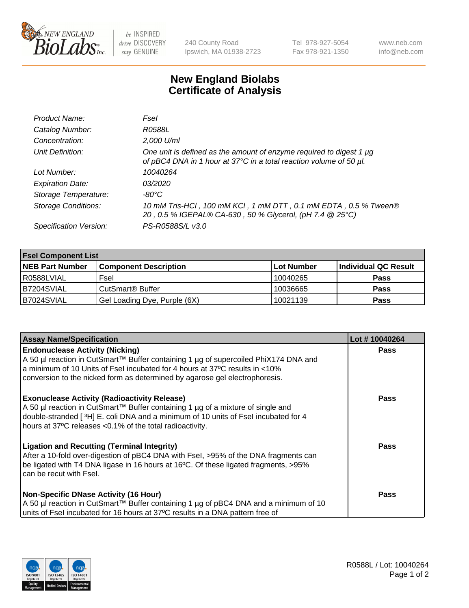

 $be$  INSPIRED drive DISCOVERY stay GENUINE

240 County Road Ipswich, MA 01938-2723 Tel 978-927-5054 Fax 978-921-1350 www.neb.com info@neb.com

## **New England Biolabs Certificate of Analysis**

| Product Name:              | Fsel                                                                                                                                      |
|----------------------------|-------------------------------------------------------------------------------------------------------------------------------------------|
| Catalog Number:            | R0588L                                                                                                                                    |
| Concentration:             | 2,000 U/ml                                                                                                                                |
| Unit Definition:           | One unit is defined as the amount of enzyme required to digest 1 µg<br>of pBC4 DNA in 1 hour at 37°C in a total reaction volume of 50 µl. |
| Lot Number:                | 10040264                                                                                                                                  |
| <b>Expiration Date:</b>    | <i>03/2020</i>                                                                                                                            |
| Storage Temperature:       | -80°C                                                                                                                                     |
| <b>Storage Conditions:</b> | 10 mM Tris-HCl, 100 mM KCl, 1 mM DTT, 0.1 mM EDTA, 0.5 % Tween®<br>20, 0.5 % IGEPAL® CA-630, 50 % Glycerol, (pH 7.4 @ 25°C)               |
| Specification Version:     | PS-R0588S/L v3.0                                                                                                                          |

| <b>Fsel Component List</b> |                              |            |                      |  |  |
|----------------------------|------------------------------|------------|----------------------|--|--|
| <b>NEB Part Number</b>     | <b>Component Description</b> | Lot Number | Individual QC Result |  |  |
| R0588LVIAL                 | Fsel                         | 10040265   | <b>Pass</b>          |  |  |
| B7204SVIAL                 | CutSmart <sup>®</sup> Buffer | 10036665   | <b>Pass</b>          |  |  |
| B7024SVIAL                 | Gel Loading Dye, Purple (6X) | 10021139   | <b>Pass</b>          |  |  |

| <b>Assay Name/Specification</b>                                                                                                                                                                                                                                                          | Lot #10040264 |
|------------------------------------------------------------------------------------------------------------------------------------------------------------------------------------------------------------------------------------------------------------------------------------------|---------------|
| <b>Endonuclease Activity (Nicking)</b><br>  A 50 µl reaction in CutSmart™ Buffer containing 1 µg of supercoiled PhiX174 DNA and<br>a minimum of 10 Units of Fsel incubated for 4 hours at 37°C results in <10%                                                                           | <b>Pass</b>   |
| conversion to the nicked form as determined by agarose gel electrophoresis.                                                                                                                                                                                                              |               |
| <b>Exonuclease Activity (Radioactivity Release)</b><br>A 50 µl reaction in CutSmart™ Buffer containing 1 µg of a mixture of single and<br>double-stranded [3H] E. coli DNA and a minimum of 10 units of Fsel incubated for 4<br>hours at 37°C releases <0.1% of the total radioactivity. | <b>Pass</b>   |
| <b>Ligation and Recutting (Terminal Integrity)</b><br>After a 10-fold over-digestion of pBC4 DNA with Fsel, >95% of the DNA fragments can<br>be ligated with T4 DNA ligase in 16 hours at 16°C. Of these ligated fragments, >95%<br>can be recut with Fsel.                              | Pass          |
| <b>Non-Specific DNase Activity (16 Hour)</b>                                                                                                                                                                                                                                             | <b>Pass</b>   |
| A 50 µl reaction in CutSmart™ Buffer containing 1 µg of pBC4 DNA and a minimum of 10<br>units of Fsel incubated for 16 hours at 37°C results in a DNA pattern free of                                                                                                                    |               |